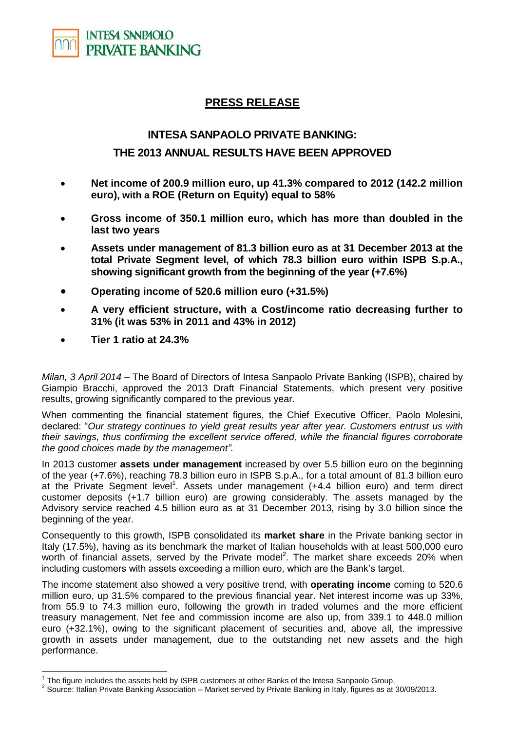

## **PRESS RELEASE**

## **INTESA SANPAOLO PRIVATE BANKING: THE 2013 ANNUAL RESULTS HAVE BEEN APPROVED**

- **Net income of 200.9 million euro, up 41.3% compared to 2012 (142.2 million euro), with a ROE (Return on Equity) equal to 58%**
- **Gross income of 350.1 million euro, which has more than doubled in the last two years**
- **Assets under management of 81.3 billion euro as at 31 December 2013 at the total Private Segment level, of which 78.3 billion euro within ISPB S.p.A., showing significant growth from the beginning of the year (+7.6%)**
- **Operating income of 520.6 million euro (+31.5%)**
- **A very efficient structure, with a Cost/income ratio decreasing further to 31% (it was 53% in 2011 and 43% in 2012)**
- **Tier 1 ratio at 24.3%**

 $\overline{a}$ 

*Milan, 3 April 2014* – The Board of Directors of Intesa Sanpaolo Private Banking (ISPB), chaired by Giampio Bracchi, approved the 2013 Draft Financial Statements, which present very positive results, growing significantly compared to the previous year.

When commenting the financial statement figures, the Chief Executive Officer, Paolo Molesini, declared: "*Our strategy continues to yield great results year after year. Customers entrust us with their savings, thus confirming the excellent service offered, while the financial figures corroborate the good choices made by the management".*

In 2013 customer **assets under management** increased by over 5.5 billion euro on the beginning of the year (+7.6%), reaching 78.3 billion euro in ISPB S.p.A., for a total amount of 81.3 billion euro at the Private Segment level<sup>1</sup>. Assets under management (+4.4 billion euro) and term direct customer deposits (+1.7 billion euro) are growing considerably. The assets managed by the Advisory service reached 4.5 billion euro as at 31 December 2013, rising by 3.0 billion since the beginning of the year.

Consequently to this growth, ISPB consolidated its **market share** in the Private banking sector in Italy (17.5%), having as its benchmark the market of Italian households with at least 500,000 euro worth of financial assets, served by the Private model<sup>2</sup>. The market share exceeds 20% when including customers with assets exceeding a million euro, which are the Bank's target.

The income statement also showed a very positive trend, with **operating income** coming to 520.6 million euro, up 31.5% compared to the previous financial year. Net interest income was up 33%, from 55.9 to 74.3 million euro, following the growth in traded volumes and the more efficient treasury management. Net fee and commission income are also up, from 339.1 to 448.0 million euro (+32.1%), owing to the significant placement of securities and, above all, the impressive growth in assets under management, due to the outstanding net new assets and the high performance.

 $1$  The figure includes the assets held by ISPB customers at other Banks of the Intesa Sanpaolo Group.

 $^2$  Source: Italian Private Banking Association – Market served by Private Banking in Italy, figures as at 30/09/2013.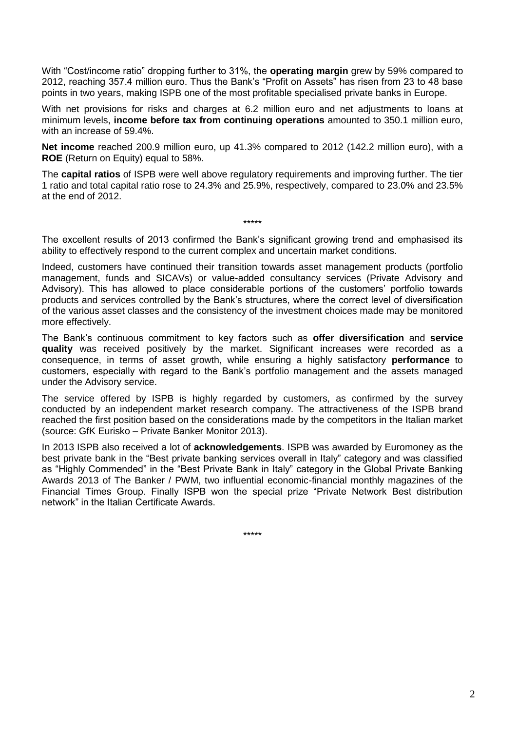With "Cost/income ratio" dropping further to 31%, the **operating margin** grew by 59% compared to 2012, reaching 357.4 million euro. Thus the Bank's "Profit on Assets" has risen from 23 to 48 base points in two years, making ISPB one of the most profitable specialised private banks in Europe.

With net provisions for risks and charges at 6.2 million euro and net adjustments to loans at minimum levels, **income before tax from continuing operations** amounted to 350.1 million euro, with an increase of 59.4%.

**Net income** reached 200.9 million euro, up 41.3% compared to 2012 (142.2 million euro), with a **ROE** (Return on Equity) equal to 58%.

The **capital ratios** of ISPB were well above regulatory requirements and improving further. The tier 1 ratio and total capital ratio rose to 24.3% and 25.9%, respectively, compared to 23.0% and 23.5% at the end of 2012.

The excellent results of 2013 confirmed the Bank's significant growing trend and emphasised its ability to effectively respond to the current complex and uncertain market conditions.

\*\*\*\*\*

Indeed, customers have continued their transition towards asset management products (portfolio management, funds and SICAVs) or value-added consultancy services (Private Advisory and Advisory). This has allowed to place considerable portions of the customers' portfolio towards products and services controlled by the Bank's structures, where the correct level of diversification of the various asset classes and the consistency of the investment choices made may be monitored more effectively.

The Bank's continuous commitment to key factors such as **offer diversification** and **service quality** was received positively by the market. Significant increases were recorded as a consequence, in terms of asset growth, while ensuring a highly satisfactory **performance** to customers, especially with regard to the Bank's portfolio management and the assets managed under the Advisory service.

The service offered by ISPB is highly regarded by customers, as confirmed by the survey conducted by an independent market research company. The attractiveness of the ISPB brand reached the first position based on the considerations made by the competitors in the Italian market (source: GfK Eurisko – Private Banker Monitor 2013).

In 2013 ISPB also received a lot of **acknowledgements**. ISPB was awarded by Euromoney as the best private bank in the "Best private banking services overall in Italy" category and was classified as "Highly Commended" in the "Best Private Bank in Italy" category in the Global Private Banking Awards 2013 of The Banker / PWM, two influential economic-financial monthly magazines of the Financial Times Group. Finally ISPB won the special prize "Private Network Best distribution network" in the Italian Certificate Awards.

\*\*\*\*\*